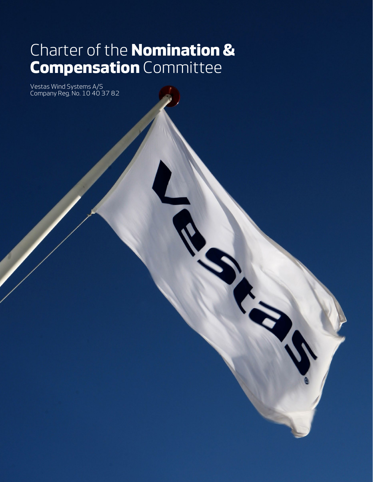# Charter of the **Nomination & Compensation** Committee

Vestas Wind Systems A/S Company Reg. No. 10 40 37 82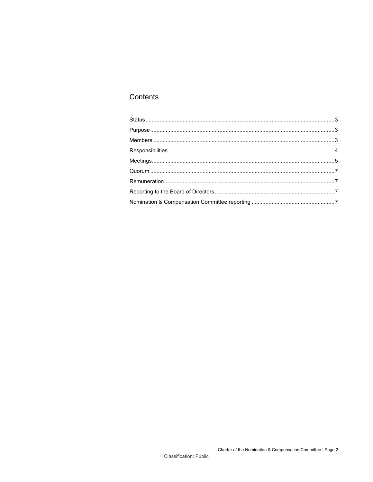# Contents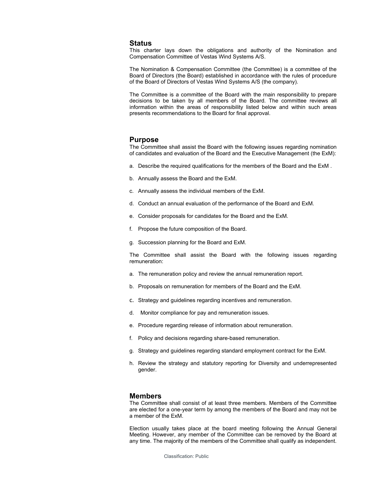## <span id="page-2-0"></span>**Status**

This charter lays down the obligations and authority of the Nomination and Compensation Committee of Vestas Wind Systems A/S.

The Nomination & Compensation Committee (the Committee) is a committee of the Board of Directors (the Board) established in accordance with the rules of procedure of the Board of Directors of Vestas Wind Systems A/S (the company).

The Committee is a committee of the Board with the main responsibility to prepare decisions to be taken by all members of the Board. The committee reviews all information within the areas of responsibility listed below and within such areas presents recommendations to the Board for final approval.

## <span id="page-2-1"></span>**Purpose**

The Committee shall assist the Board with the following issues regarding nomination of candidates and evaluation of the Board and the Executive Management (the ExM):

- a. Describe the required qualifications for the members of the Board and the ExM .
- b. Annually assess the Board and the ExM.
- c. Annually assess the individual members of the ExM.
- d. Conduct an annual evaluation of the performance of the Board and ExM.
- e. Consider proposals for candidates for the Board and the ExM.
- f. Propose the future composition of the Board.
- g. Succession planning for the Board and ExM.

The Committee shall assist the Board with the following issues regarding remuneration:

- a. The remuneration policy and review the annual remuneration report.
- b. Proposals on remuneration for members of the Board and the ExM.
- c. Strategy and guidelines regarding incentives and remuneration.
- d. Monitor compliance for pay and remuneration issues.
- e. Procedure regarding release of information about remuneration.
- f. Policy and decisions regarding share-based remuneration.
- g. Strategy and guidelines regarding standard employment contract for the ExM.
- h. Review the strategy and statutory reporting for Diversity and underrepresented gender.

## <span id="page-2-2"></span>**Members**

The Committee shall consist of at least three members. Members of the Committee are elected for a one-year term by among the members of the Board and may not be a member of the ExM.

Election usually takes place at the board meeting following the Annual General Meeting. However, any member of the Committee can be removed by the Board at any time. The majority of the members of the Committee shall qualify as independent.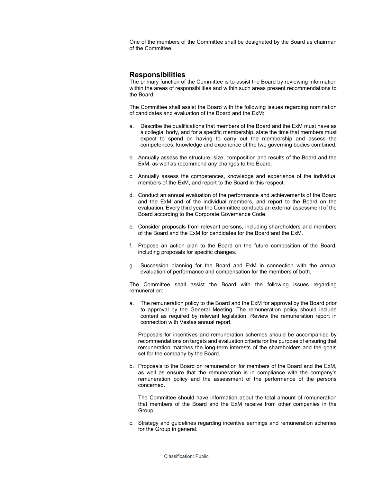One of the members of the Committee shall be designated by the Board as chairman of the Committee.

# <span id="page-3-0"></span>**Responsibilities**

The primary function of the Committee is to assist the Board by reviewing information within the areas of responsibilities and within such areas present recommendations to the Board.

The Committee shall assist the Board with the following issues regarding nomination of candidates and evaluation of the Board and the ExM:

- a. Describe the qualifications that members of the Board and the ExM must have as a collegial body, and for a specific membership, state the time that members must expect to spend on having to carry out the membership and assess the competences, knowledge and experience of the two governing bodies combined.
- b. Annually assess the structure, size, composition and results of the Board and the ExM, as well as recommend any changes to the Board.
- c. Annually assess the competences, knowledge and experience of the individual members of the ExM, and report to the Board in this respect.
- d. Conduct an annual evaluation of the performance and achievements of the Board and the ExM and of the individual members, and report to the Board on the evaluation. Every third year the Committee conducts an external assessment of the Board according to the Corporate Governance Code.
- e. Consider proposals from relevant persons, including shareholders and members of the Board and the ExM for candidates for the Board and the ExM.
- f. Propose an action plan to the Board on the future composition of the Board, including proposals for specific changes.
- g. Succession planning for the Board and ExM in connection with the annual evaluation of performance and compensation for the members of both.

The Committee shall assist the Board with the following issues regarding remuneration:

a. The remuneration policy to the Board and the ExM for approval by the Board prior to approval by the General Meeting. The remuneration policy should include content as required by relevant legislation. Review the remuneration report in connection with Vestas annual report.

Proposals for incentives and remuneration schemes should be accompanied by recommendations on targets and evaluation criteria for the purpose of ensuring that remuneration matches the long-term interests of the shareholders and the goals set for the company by the Board.

b. Proposals to the Board on remuneration for members of the Board and the ExM, as well as ensure that the remuneration is in compliance with the company's remuneration policy and the assessment of the performance of the persons concerned.

The Committee should have information about the total amount of remuneration that members of the Board and the ExM receive from other companies in the Group.

c. Strategy and guidelines regarding incentive earnings and remuneration schemes for the Group in general.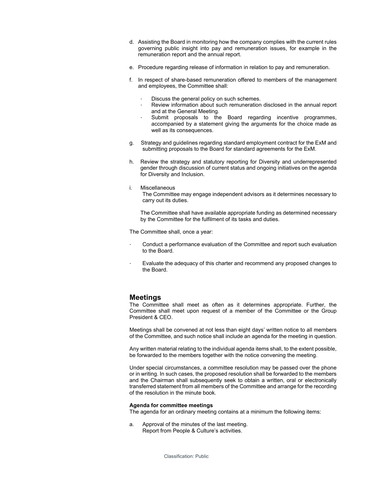- d. Assisting the Board in monitoring how the company complies with the current rules governing public insight into pay and remuneration issues, for example in the remuneration report and the annual report.
- e. Procedure regarding release of information in relation to pay and remuneration.
- f. In respect of share-based remuneration offered to members of the management and employees, the Committee shall:
	- Discuss the general policy on such schemes.
	- Review information about such remuneration disclosed in the annual report and at the General Meeting.
	- Submit proposals to the Board regarding incentive programmes, accompanied by a statement giving the arguments for the choice made as well as its consequences.
- g. Strategy and guidelines regarding standard employment contract for the ExM and submitting proposals to the Board for standard agreements for the ExM.
- h. Review the strategy and statutory reporting for Diversity and underrepresented gender through discussion of current status and ongoing initiatives on the agenda for Diversity and Inclusion.
- i. Miscellaneous

The Committee may engage independent advisors as it determines necessary to carry out its duties.

The Committee shall have available appropriate funding as determined necessary by the Committee for the fulfilment of its tasks and duties.

The Committee shall, once a year:

- Conduct a performance evaluation of the Committee and report such evaluation to the Board.
- Evaluate the adequacy of this charter and recommend any proposed changes to the Board.

# <span id="page-4-0"></span>**Meetings**

The Committee shall meet as often as it determines appropriate. Further, the Committee shall meet upon request of a member of the Committee or the Group President & CEO.

Meetings shall be convened at not less than eight days' written notice to all members of the Committee, and such notice shall include an agenda for the meeting in question.

Any written material relating to the individual agenda items shall, to the extent possible, be forwarded to the members together with the notice convening the meeting.

Under special circumstances, a committee resolution may be passed over the phone or in writing. In such cases, the proposed resolution shall be forwarded to the members and the Chairman shall subsequently seek to obtain a written, oral or electronically transferred statement from all members of the Committee and arrange for the recording of the resolution in the minute book.

## **Agenda for committee meetings**

The agenda for an ordinary meeting contains at a minimum the following items:

a. Approval of the minutes of the last meeting. Report from People & Culture's activities.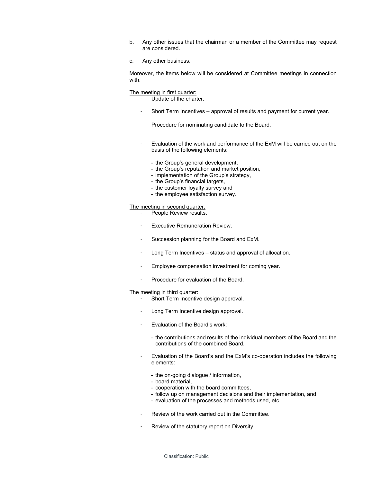- b. Any other issues that the chairman or a member of the Committee may request are considered.
- c. Any other business.

Moreover, the items below will be considered at Committee meetings in connection with:

#### The meeting in first quarter:

- Update of the charter.
- Short Term Incentives approval of results and payment for current year.
- Procedure for nominating candidate to the Board.
- Evaluation of the work and performance of the ExM will be carried out on the basis of the following elements:
	- the Group's general development,
	- the Group's reputation and market position,
	- implementation of the Group's strategy,
	- the Group's financial targets,
	- the customer loyalty survey and
	- the employee satisfaction survey.

## The meeting in second quarter:

- People Review results.
- Executive Remuneration Review.
- Succession planning for the Board and ExM.
- Long Term Incentives status and approval of allocation.
- Employee compensation investment for coming year.
- Procedure for evaluation of the Board.

#### The meeting in third quarter:

- Short Term Incentive design approval.
- Long Term Incentive design approval.
- Evaluation of the Board's work:
	- the contributions and results of the individual members of the Board and the contributions of the combined Board.
- Evaluation of the Board's and the ExM's co-operation includes the following elements:
	- the on-going dialogue / information,
	- board material,
	- cooperation with the board committees,
	- follow up on management decisions and their implementation, and
	- evaluation of the processes and methods used, etc.
- Review of the work carried out in the Committee.
- Review of the statutory report on Diversity.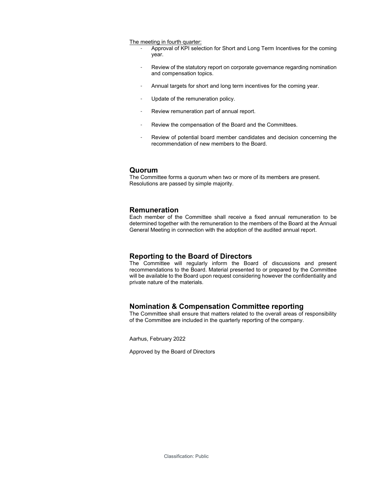The meeting in fourth quarter:

- Approval of KPI selection for Short and Long Term Incentives for the coming year.
- Review of the statutory report on corporate governance regarding nomination and compensation topics.
- Annual targets for short and long term incentives for the coming year.
- Update of the remuneration policy.
- Review remuneration part of annual report.
- Review the compensation of the Board and the Committees.
- Review of potential board member candidates and decision concerning the recommendation of new members to the Board.

# <span id="page-6-0"></span>**Quorum**

The Committee forms a quorum when two or more of its members are present. Resolutions are passed by simple majority.

## <span id="page-6-1"></span>**Remuneration**

Each member of the Committee shall receive a fixed annual remuneration to be determined together with the remuneration to the members of the Board at the Annual General Meeting in connection with the adoption of the audited annual report.

## <span id="page-6-2"></span>**Reporting to the Board of Directors**

The Committee will regularly inform the Board of discussions and present recommendations to the Board. Material presented to or prepared by the Committee will be available to the Board upon request considering however the confidentiality and private nature of the materials.

# <span id="page-6-3"></span>**Nomination & Compensation Committee reporting**

The Committee shall ensure that matters related to the overall areas of responsibility of the Committee are included in the quarterly reporting of the company.

Aarhus, February 2022

Approved by the Board of Directors